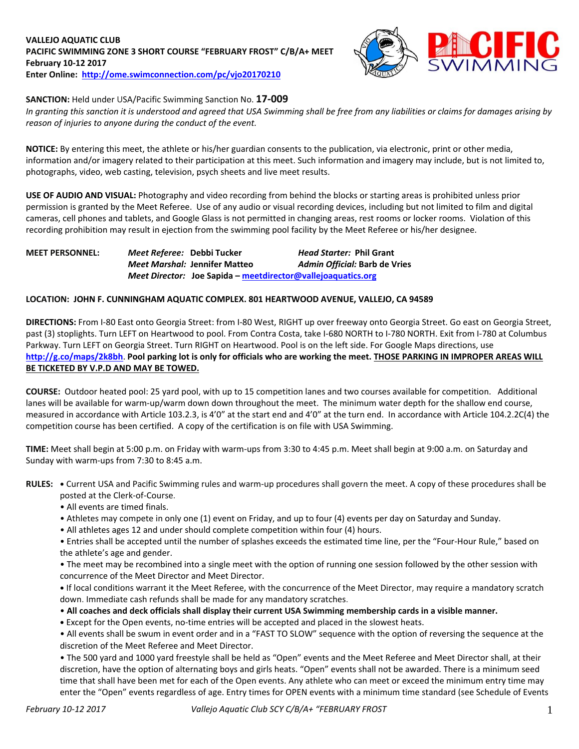

# **SANCTION:** Held under USA/Pacific Swimming Sanction No. **17-009**

*In granting this sanction it is understood and agreed that USA Swimming shall be free from any liabilities or claims for damages arising by reason of injuries to anyone during the conduct of the event.*

**NOTICE:** By entering this meet, the athlete or his/her guardian consents to the publication, via electronic, print or other media, information and/or imagery related to their participation at this meet. Such information and imagery may include, but is not limited to, photographs, video, web casting, television, psych sheets and live meet results.

**USE OF AUDIO AND VISUAL:** Photography and video recording from behind the blocks or starting areas is prohibited unless prior permission is granted by the Meet Referee. Use of any audio or visual recording devices, including but not limited to film and digital cameras, cell phones and tablets, and Google Glass is not permitted in changing areas, rest rooms or locker rooms. Violation of this recording prohibition may result in ejection from the swimming pool facility by the Meet Referee or his/her designee.

**MEET PERSONNEL:** *Meet Referee:* **Debbi Tucker** *Head Starter:* **Phil Grant** *Meet Marshal:* **Jennifer Matteo** *Admin Official:* **Barb de Vries** *Meet Director:* **Joe Sapida – [meetdirector@vallejoaquatics.org](mailto:meetdirector@vallejoaquatics.org)**

### **LOCATION: JOHN F. CUNNINGHAM AQUATIC COMPLEX. 801 HEARTWOOD AVENUE, VALLEJO, CA 94589**

**DIRECTIONS:** From I-80 East onto Georgia Street: from I-80 West, RIGHT up over freeway onto Georgia Street. Go east on Georgia Street, past (3) stoplights. Turn LEFT on Heartwood to pool. From Contra Costa, take I-680 NORTH to I-780 NORTH. Exit from I-780 at Columbus Parkway. Turn LEFT on Georgia Street. Turn RIGHT on Heartwood. Pool is on the left side. For Google Maps directions, use **<http://g.co/maps/2k8bh>**. **Pool parking lot is only for officials who are working the meet. THOSE PARKING IN IMPROPER AREAS WILL BE TICKETED BY V.P.D AND MAY BE TOWED.** 

**COURSE:** Outdoor heated pool: 25 yard pool, with up to 15 competition lanes and two courses available for competition. Additional lanes will be available for warm-up/warm down down throughout the meet. The minimum water depth for the shallow end course, measured in accordance with Article 103.2.3, is 4'0" at the start end and 4'0" at the turn end. In accordance with Article 104.2.2C(4) the competition course has been certified. A copy of the certification is on file with USA Swimming.

**TIME:** Meet shall begin at 5:00 p.m. on Friday with warm-ups from 3:30 to 4:45 p.m. Meet shall begin at 9:00 a.m. on Saturday and Sunday with warm-ups from 7:30 to 8:45 a.m.

**RULES: •** Current USA and Pacific Swimming rules and warm-up procedures shall govern the meet. A copy of these procedures shall be posted at the Clerk-of-Course.

- All events are timed finals.
- Athletes may compete in only one (1) event on Friday, and up to four (4) events per day on Saturday and Sunday.
- All athletes ages 12 and under should complete competition within four (4) hours.

• Entries shall be accepted until the number of splashes exceeds the estimated time line, per the "Four-Hour Rule," based on the athlete's age and gender.

• The meet may be recombined into a single meet with the option of running one session followed by the other session with concurrence of the Meet Director and Meet Director.

**•** If local conditions warrant it the Meet Referee, with the concurrence of the Meet Director, may require a mandatory scratch down. Immediate cash refunds shall be made for any mandatory scratches.

• **All coaches and deck officials shall display their current USA Swimming membership cards in a visible manner.** 

**•** Except for the Open events, no-time entries will be accepted and placed in the slowest heats.

• All events shall be swum in event order and in a "FAST TO SLOW" sequence with the option of reversing the sequence at the discretion of the Meet Referee and Meet Director.

• The 500 yard and 1000 yard freestyle shall be held as "Open" events and the Meet Referee and Meet Director shall, at their discretion, have the option of alternating boys and girls heats. "Open" events shall not be awarded. There is a minimum seed time that shall have been met for each of the Open events. Any athlete who can meet or exceed the minimum entry time may enter the "Open" events regardless of age. Entry times for OPEN events with a minimum time standard (see Schedule of Events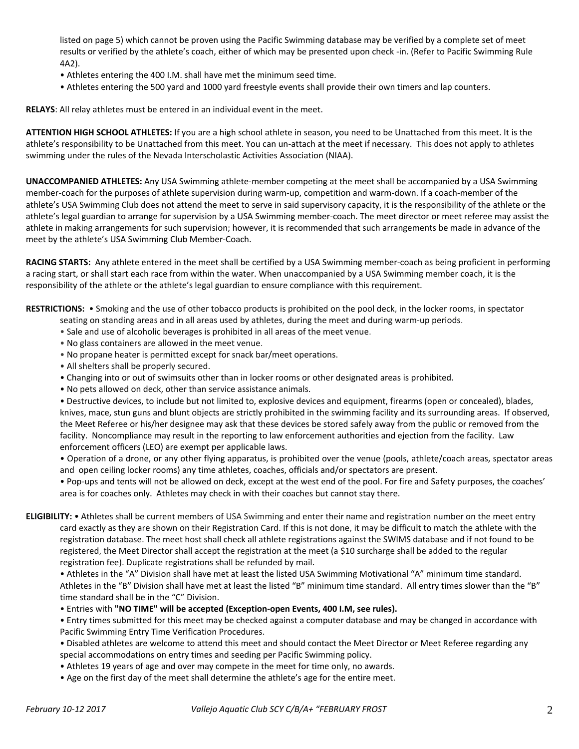listed on page 5) which cannot be proven using the Pacific Swimming database may be verified by a complete set of meet results or verified by the athlete's coach, either of which may be presented upon check -in. (Refer to Pacific Swimming Rule 4A2).

- Athletes entering the 400 I.M. shall have met the minimum seed time.
- Athletes entering the 500 yard and 1000 yard freestyle events shall provide their own timers and lap counters.

**RELAYS**: All relay athletes must be entered in an individual event in the meet.

**ATTENTION HIGH SCHOOL ATHLETES:** If you are a high school athlete in season, you need to be Unattached from this meet. It is the athlete's responsibility to be Unattached from this meet. You can un-attach at the meet if necessary. This does not apply to athletes swimming under the rules of the Nevada Interscholastic Activities Association (NIAA).

**UNACCOMPANIED ATHLETES:** Any USA Swimming athlete-member competing at the meet shall be accompanied by a USA Swimming member-coach for the purposes of athlete supervision during warm-up, competition and warm-down. If a coach-member of the athlete's USA Swimming Club does not attend the meet to serve in said supervisory capacity, it is the responsibility of the athlete or the athlete's legal guardian to arrange for supervision by a USA Swimming member-coach. The meet director or meet referee may assist the athlete in making arrangements for such supervision; however, it is recommended that such arrangements be made in advance of the meet by the athlete's USA Swimming Club Member-Coach.

**RACING STARTS:** Any athlete entered in the meet shall be certified by a USA Swimming member-coach as being proficient in performing a racing start, or shall start each race from within the water. When unaccompanied by a USA Swimming member coach, it is the responsibility of the athlete or the athlete's legal guardian to ensure compliance with this requirement.

**RESTRICTIONS:** • Smoking and the use of other tobacco products is prohibited on the pool deck, in the locker rooms, in spectator

- seating on standing areas and in all areas used by athletes, during the meet and during warm-up periods.
- Sale and use of alcoholic beverages is prohibited in all areas of the meet venue.
- No glass containers are allowed in the meet venue.
- No propane heater is permitted except for snack bar/meet operations.
- All shelters shall be properly secured.
- Changing into or out of swimsuits other than in locker rooms or other designated areas is prohibited.
- No pets allowed on deck, other than service assistance animals.

• Destructive devices, to include but not limited to, explosive devices and equipment, firearms (open or concealed), blades, knives, mace, stun guns and blunt objects are strictly prohibited in the swimming facility and its surrounding areas. If observed, the Meet Referee or his/her designee may ask that these devices be stored safely away from the public or removed from the facility. Noncompliance may result in the reporting to law enforcement authorities and ejection from the facility. Law enforcement officers (LEO) are exempt per applicable laws.

• Operation of a drone, or any other flying apparatus, is prohibited over the venue (pools, athlete/coach areas, spectator areas and open ceiling locker rooms) any time athletes, coaches, officials and/or spectators are present.

• Pop-ups and tents will not be allowed on deck, except at the west end of the pool. For fire and Safety purposes, the coaches' area is for coaches only. Athletes may check in with their coaches but cannot stay there.

# **ELIGIBILITY:** • Athletes shall be current members of USA Swimming and enter their name and registration number on the meet entry card exactly as they are shown on their Registration Card. If this is not done, it may be difficult to match the athlete with the registration database. The meet host shall check all athlete registrations against the SWIMS database and if not found to be registered, the Meet Director shall accept the registration at the meet (a \$10 surcharge shall be added to the regular registration fee). Duplicate registrations shall be refunded by mail.

• Athletes in the "A" Division shall have met at least the listed USA Swimming Motivational "A" minimum time standard. Athletes in the "B" Division shall have met at least the listed "B" minimum time standard. All entry times slower than the "B" time standard shall be in the "C" Division.

• Entries with **"NO TIME" will be accepted (Exception-open Events, 400 I.M, see rules).** 

• Entry times submitted for this meet may be checked against a computer database and may be changed in accordance with Pacific Swimming Entry Time Verification Procedures.

• Disabled athletes are welcome to attend this meet and should contact the Meet Director or Meet Referee regarding any special accommodations on entry times and seeding per Pacific Swimming policy.

- Athletes 19 years of age and over may compete in the meet for time only, no awards.
- Age on the first day of the meet shall determine the athlete's age for the entire meet.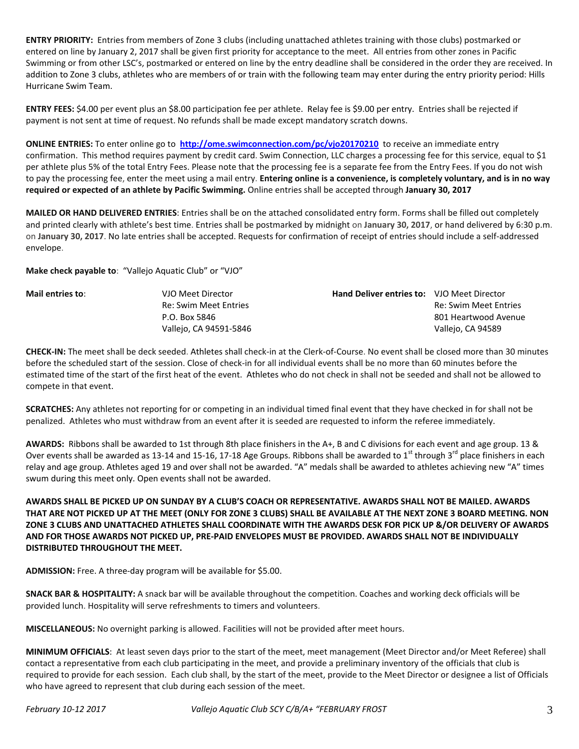**ENTRY PRIORITY:** Entries from members of Zone 3 clubs (including unattached athletes training with those clubs) postmarked or entered on line by January 2, 2017 shall be given first priority for acceptance to the meet. All entries from other zones in Pacific Swimming or from other LSC's, postmarked or entered on line by the entry deadline shall be considered in the order they are received. In addition to Zone 3 clubs, athletes who are members of or train with the following team may enter during the entry priority period: Hills Hurricane Swim Team.

**ENTRY FEES:** \$4.00 per event plus an \$8.00 participation fee per athlete. Relay fee is \$9.00 per entry. Entries shall be rejected if payment is not sent at time of request. No refunds shall be made except mandatory scratch downs.

**ONLINE ENTRIES:** To enter online go to **<http://ome.swimconnection.com/pc/vjo20170210>**to receive an immediate entry confirmation. This method requires payment by credit card. Swim Connection, LLC charges a processing fee for this service, equal to \$1 per athlete plus 5% of the total Entry Fees. Please note that the processing fee is a separate fee from the Entry Fees. If you do not wish to pay the processing fee, enter the meet using a mail entry. **Entering online is a convenience, is completely voluntary, and is in no way required or expected of an athlete by Pacific Swimming.** Online entries shall be accepted through **January 30, 2017**

**MAILED OR HAND DELIVERED ENTRIES**: Entries shall be on the attached consolidated entry form. Forms shall be filled out completely and printed clearly with athlete's best time. Entries shall be postmarked by midnight on **January 30, 2017**, or hand delivered by 6:30 p.m. on **January 30, 2017**. No late entries shall be accepted. Requests for confirmation of receipt of entries should include a self-addressed envelope.

**Make check payable to**: "Vallejo Aquatic Club" or "VJO"

| Mail entries to: | VJO Meet Director      | <b>Hand Deliver entries to:</b> VJO Meet Director |                              |
|------------------|------------------------|---------------------------------------------------|------------------------------|
|                  | Re: Swim Meet Entries  |                                                   | <b>Re: Swim Meet Entries</b> |
|                  | P.O. Box 5846          |                                                   | 801 Heartwood Avenue         |
|                  | Vallejo, CA 94591-5846 |                                                   | Vallejo, CA 94589            |

**CHECK-IN:** The meet shall be deck seeded. Athletes shall check-in at the Clerk-of-Course. No event shall be closed more than 30 minutes before the scheduled start of the session. Close of check-in for all individual events shall be no more than 60 minutes before the estimated time of the start of the first heat of the event. Athletes who do not check in shall not be seeded and shall not be allowed to compete in that event.

**SCRATCHES:** Any athletes not reporting for or competing in an individual timed final event that they have checked in for shall not be penalized. Athletes who must withdraw from an event after it is seeded are requested to inform the referee immediately.

**AWARDS:** Ribbons shall be awarded to 1st through 8th place finishers in the A+, B and C divisions for each event and age group. 13 & Over events shall be awarded as 13-14 and 15-16, 17-18 Age Groups. Ribbons shall be awarded to 1<sup>st</sup> through 3<sup>rd</sup> place finishers in each relay and age group. Athletes aged 19 and over shall not be awarded. "A" medals shall be awarded to athletes achieving new "A" times swum during this meet only. Open events shall not be awarded.

**AWARDS SHALL BE PICKED UP ON SUNDAY BY A CLUB'S COACH OR REPRESENTATIVE. AWARDS SHALL NOT BE MAILED. AWARDS THAT ARE NOT PICKED UP AT THE MEET (ONLY FOR ZONE 3 CLUBS) SHALL BE AVAILABLE AT THE NEXT ZONE 3 BOARD MEETING. NON ZONE 3 CLUBS AND UNATTACHED ATHLETES SHALL COORDINATE WITH THE AWARDS DESK FOR PICK UP &/OR DELIVERY OF AWARDS AND FOR THOSE AWARDS NOT PICKED UP, PRE-PAID ENVELOPES MUST BE PROVIDED. AWARDS SHALL NOT BE INDIVIDUALLY DISTRIBUTED THROUGHOUT THE MEET.**

**ADMISSION:** Free. A three-day program will be available for \$5.00.

**SNACK BAR & HOSPITALITY:** A snack bar will be available throughout the competition. Coaches and working deck officials will be provided lunch. Hospitality will serve refreshments to timers and volunteers.

**MISCELLANEOUS:** No overnight parking is allowed. Facilities will not be provided after meet hours.

**MINIMUM OFFICIALS**: At least seven days prior to the start of the meet, meet management (Meet Director and/or Meet Referee) shall contact a representative from each club participating in the meet, and provide a preliminary inventory of the officials that club is required to provide for each session. Each club shall, by the start of the meet, provide to the Meet Director or designee a list of Officials who have agreed to represent that club during each session of the meet.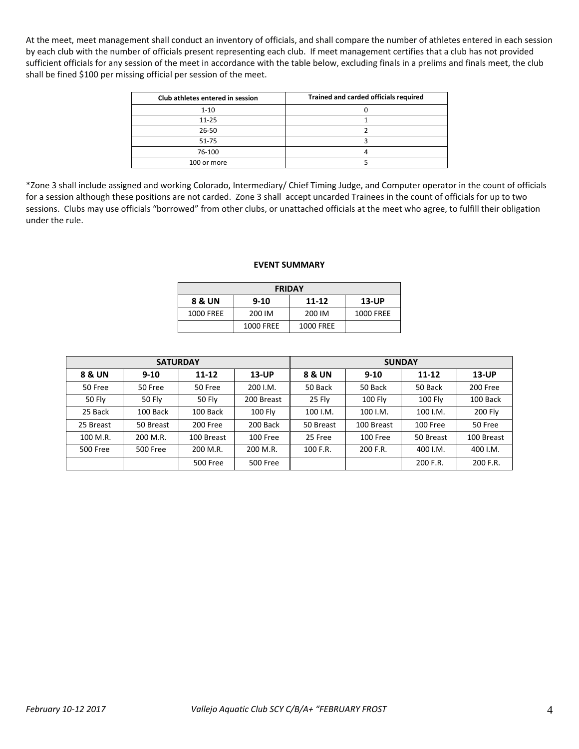At the meet, meet management shall conduct an inventory of officials, and shall compare the number of athletes entered in each session by each club with the number of officials present representing each club. If meet management certifies that a club has not provided sufficient officials for any session of the meet in accordance with the table below, excluding finals in a prelims and finals meet, the club shall be fined \$100 per missing official per session of the meet.

| Club athletes entered in session | Trained and carded officials required |
|----------------------------------|---------------------------------------|
| $1 - 10$                         |                                       |
| $11 - 25$                        |                                       |
| 26-50                            |                                       |
| $51 - 75$                        |                                       |
| 76-100                           |                                       |
| 100 or more                      |                                       |

\*Zone 3 shall include assigned and working Colorado, Intermediary/ Chief Timing Judge, and Computer operator in the count of officials for a session although these positions are not carded. Zone 3 shall accept uncarded Trainees in the count of officials for up to two sessions. Clubs may use officials "borrowed" from other clubs, or unattached officials at the meet who agree, to fulfill their obligation under the rule.

#### **EVENT SUMMARY**

| <b>FRIDAY</b>    |           |           |           |  |  |  |  |  |  |
|------------------|-----------|-----------|-----------|--|--|--|--|--|--|
| 8 & UN           | $13$ -UP  |           |           |  |  |  |  |  |  |
| <b>1000 FREE</b> | 200 IM    | 200 IM    | 1000 FREE |  |  |  |  |  |  |
|                  | 1000 FREE | 1000 FREE |           |  |  |  |  |  |  |

|                 | <b>SATURDAY</b> |                 |                 | <b>SUNDAY</b> |                |                |            |  |  |
|-----------------|-----------------|-----------------|-----------------|---------------|----------------|----------------|------------|--|--|
| 8 & UN          | $9 - 10$        | 11-12           | $13$ -UP        | 8 & UN        | $9 - 10$       | 11-12          | $13$ -UP   |  |  |
| 50 Free         | 50 Free         | 50 Free         | 200 I.M.        | 50 Back       | 50 Back        | 50 Back        | 200 Free   |  |  |
| 50 Fly          | 50 Fly          | 50 Fly          | 200 Breast      | 25 Fly        | <b>100 Flv</b> | <b>100 Fly</b> | 100 Back   |  |  |
| 25 Back         | 100 Back        | 100 Back        | <b>100 Flv</b>  | $100$ I.M.    | 100 I.M.       | 100 I.M.       | 200 Fly    |  |  |
| 25 Breast       | 50 Breast       | 200 Free        | 200 Back        | 50 Breast     | 100 Breast     | 100 Free       | 50 Free    |  |  |
| 100 M.R.        | 200 M.R.        | 100 Breast      | 100 Free        | 25 Free       | 100 Free       | 50 Breast      | 100 Breast |  |  |
| <b>500 Free</b> | <b>500 Free</b> | 200 M.R.        | 200 M.R.        | 100 F.R.      | 200 F.R.       | 400 I.M.       | 400 I.M.   |  |  |
|                 |                 | <b>500 Free</b> | <b>500 Free</b> |               |                | 200 F.R.       | 200 F.R.   |  |  |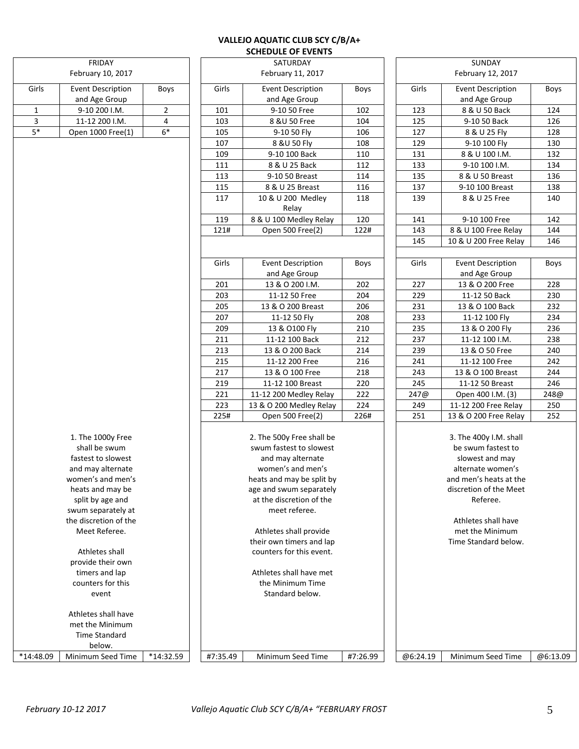# **VALLEJO AQUATIC CLUB SCY C/B/A+ SCHEDULE OF EVENTS**

|              | FRIDAY                                 |                |          | SATURDAY                                           |          |                   | SUNDAY                                  |          |  |  |
|--------------|----------------------------------------|----------------|----------|----------------------------------------------------|----------|-------------------|-----------------------------------------|----------|--|--|
|              | February 10, 2017                      |                |          | February 11, 2017                                  |          | February 12, 2017 |                                         |          |  |  |
| Girls        | <b>Event Description</b>               | Boys           | Girls    | <b>Event Description</b>                           | Boys     | Girls             | <b>Event Description</b>                | Boys     |  |  |
|              | and Age Group                          |                |          | and Age Group                                      |          |                   | and Age Group                           |          |  |  |
| $\mathbf{1}$ | 9-10 200 I.M.                          | $\overline{2}$ | 101      | 9-10 50 Free                                       | 102      | 123               | 8 & U 50 Back                           | 124      |  |  |
| 3            | 11-12 200 I.M.                         | 4              | 103      | 8 & U 50 Free                                      | 104      | 125               | 9-10 50 Back                            | 126      |  |  |
| $5*$         | Open 1000 Free(1)                      | $6*$           | 105      | 9-10 50 Fly                                        | 106      | 127               | 8 & U 25 Fly                            | 128      |  |  |
|              |                                        |                | 107      | 8 & U 50 Fly                                       | 108      | 129               | 9-10 100 Fly                            | 130      |  |  |
|              |                                        |                | 109      | 9-10 100 Back                                      | 110      | 131               | 8 & U 100 I.M.                          | 132      |  |  |
|              |                                        |                | 111      | 8 & U 25 Back                                      | 112      | 133               | 9-10 100 I.M.                           | 134      |  |  |
|              |                                        |                | 113      | 9-10 50 Breast                                     | 114      | 135               | 8 & U 50 Breast                         | 136      |  |  |
|              |                                        |                | 115      | 8 & U 25 Breast                                    | 116      | 137               | 9-10 100 Breast                         | 138      |  |  |
|              |                                        |                | 117      | 10 & U 200 Medley<br>Relay                         | 118      | 139               | 8 & U 25 Free                           | 140      |  |  |
|              |                                        |                | 119      | 8 & U 100 Medley Relay                             | 120      | 141               | 9-10 100 Free                           | 142      |  |  |
|              |                                        |                | 121#     | Open 500 Free(2)                                   | 122#     | 143               | 8 & U 100 Free Relay                    | 144      |  |  |
|              |                                        |                |          |                                                    |          | 145               | 10 & U 200 Free Relay                   | 146      |  |  |
|              |                                        |                | Girls    | <b>Event Description</b>                           | Boys     | Girls             | <b>Event Description</b>                | Boys     |  |  |
|              |                                        |                |          | and Age Group                                      |          |                   | and Age Group                           |          |  |  |
|              |                                        |                | 201      | 13 & O 200 I.M.                                    | 202      | 227               | 13 & O 200 Free                         | 228      |  |  |
|              |                                        |                | 203      | 11-12 50 Free                                      | 204      | 229               | 11-12 50 Back                           | 230      |  |  |
|              |                                        |                | 205      | 13 & O 200 Breast                                  | 206      | 231               | 13 & O 100 Back                         | 232      |  |  |
|              |                                        |                | 207      | 11-12 50 Fly                                       | 208      | 233               | 11-12 100 Fly                           | 234      |  |  |
|              |                                        |                | 209      | 13 & O100 Fly                                      | 210      | 235               | 13 & O 200 Fly                          | 236      |  |  |
|              |                                        |                | 211      | 11-12 100 Back                                     | 212      | 237               | 11-12 100 I.M.                          | 238      |  |  |
|              |                                        |                | 213      | 13 & O 200 Back                                    | 214      | 239               | 13 & O 50 Free                          | 240      |  |  |
|              |                                        |                | 215      | 11-12 200 Free                                     | 216      | 241               | 11-12 100 Free                          | 242      |  |  |
|              |                                        |                | 217      | 13 & O 100 Free                                    | 218      | 243               | 13 & O 100 Breast                       | 244      |  |  |
|              |                                        |                | 219      | 11-12 100 Breast                                   | 220      | 245               | 11-12 50 Breast                         | 246      |  |  |
|              |                                        |                | 221      | 11-12 200 Medley Relay                             | 222      | 247@              | Open 400 I.M. (3)                       | 248@     |  |  |
|              |                                        |                | 223      | 13 & O 200 Medley Relay                            | 224      | 249               | 11-12 200 Free Relay                    | 250      |  |  |
|              |                                        |                | 225#     | Open 500 Free(2)                                   | 226#     | 251               | 13 & O 200 Free Relay                   | 252      |  |  |
|              | 1. The 1000y Free                      |                |          | 2. The 500y Free shall be                          |          |                   | 3. The 400y I.M. shall                  |          |  |  |
|              | shall be swum                          |                |          | swum fastest to slowest                            |          |                   | be swum fastest to                      |          |  |  |
|              | fastest to slowest                     |                |          | and may alternate                                  |          |                   | slowest and may                         |          |  |  |
|              | and may alternate                      |                |          | women's and men's                                  |          |                   | alternate women's                       |          |  |  |
|              | women's and men's                      |                |          | heats and may be split by                          |          |                   | and men's heats at the                  |          |  |  |
|              | heats and may be                       |                |          | age and swum separately                            |          |                   | discretion of the Meet                  |          |  |  |
|              | split by age and                       |                |          | at the discretion of the                           |          |                   | Referee.                                |          |  |  |
|              | swum separately at                     |                |          | meet referee.                                      |          |                   |                                         |          |  |  |
|              | the discretion of the<br>Meet Referee. |                |          |                                                    |          |                   | Athletes shall have                     |          |  |  |
|              |                                        |                |          | Athletes shall provide<br>their own timers and lap |          |                   | met the Minimum<br>Time Standard below. |          |  |  |
|              | Athletes shall                         |                |          | counters for this event.                           |          |                   |                                         |          |  |  |
|              | provide their own                      |                |          |                                                    |          |                   |                                         |          |  |  |
|              | timers and lap                         |                |          | Athletes shall have met                            |          |                   |                                         |          |  |  |
|              | counters for this                      |                |          | the Minimum Time                                   |          |                   |                                         |          |  |  |
|              | event                                  |                |          | Standard below.                                    |          |                   |                                         |          |  |  |
|              | Athletes shall have                    |                |          |                                                    |          |                   |                                         |          |  |  |
|              | met the Minimum                        |                |          |                                                    |          |                   |                                         |          |  |  |
|              | Time Standard                          |                |          |                                                    |          |                   |                                         |          |  |  |
|              | below.                                 |                |          |                                                    |          |                   |                                         |          |  |  |
| *14:48.09    | Minimum Seed Time                      | *14:32.59      | #7:35.49 | Minimum Seed Time                                  | #7:26.99 | @6:24.19          | Minimum Seed Time                       | @6:13.09 |  |  |

|       | <b>SCHEDULE OF EVENTS</b> |             |                        |                          |             |  |  |  |  |
|-------|---------------------------|-------------|------------------------|--------------------------|-------------|--|--|--|--|
|       | SATURDAY                  |             | SUNDAY                 |                          |             |  |  |  |  |
|       | February 11, 2017         |             |                        | February 12, 2017        |             |  |  |  |  |
| Girls | <b>Event Description</b>  | Boys        | Girls                  | <b>Event Description</b> | <b>Boys</b> |  |  |  |  |
|       | and Age Group             |             |                        | and Age Group            |             |  |  |  |  |
| 101   | 9-10 50 Free              | 102         | 123                    | 8 & U 50 Back            | 124         |  |  |  |  |
| 103   | 8 & U 50 Free             | 104         | 125                    | 9-10 50 Back             | 126         |  |  |  |  |
| 105   | 9-10 50 Fly               | 106         | 127                    | 8 & U 25 Fly             | 128         |  |  |  |  |
| 107   | 8 & U 50 Fly              | 108         | 129                    | 9-10 100 Fly             | 130         |  |  |  |  |
| 109   | 9-10 100 Back             | 110         | 131                    | 8 & U 100 I.M.           | 132         |  |  |  |  |
| 111   | 8 & U 25 Back             | 112         | 133                    | 9-10 100 I.M.            | 134         |  |  |  |  |
| 113   | 9-10 50 Breast            | 114         | 135                    | 8 & U 50 Breast          | 136         |  |  |  |  |
| 115   | 8 & U 25 Breast           | 116         | 137                    | 9-10 100 Breast          | 138         |  |  |  |  |
| 117   | 10 & U 200 Medley         | 118         | 139                    | 8 & U 25 Free            | 140         |  |  |  |  |
|       | Relay                     |             |                        |                          |             |  |  |  |  |
| 119   | 8 & U 100 Medley Relay    | 120         | 141                    | 9-10 100 Free            | 142         |  |  |  |  |
| 121#  | Open 500 Free(2)          | 122#        | 143                    | 8 & U 100 Free Relay     | 144         |  |  |  |  |
|       |                           |             | 145                    | 10 & U 200 Free Relay    | 146         |  |  |  |  |
|       |                           |             |                        |                          |             |  |  |  |  |
| Girls | <b>Event Description</b>  | <b>Boys</b> | Girls                  | <b>Event Description</b> | <b>Boys</b> |  |  |  |  |
|       | and Age Group             |             |                        | and Age Group            |             |  |  |  |  |
| 201   | 13 & O 200 I.M.           | 202         | 227                    | 13 & O 200 Free          | 228         |  |  |  |  |
| 203   | 11-12 50 Free             | 204         | 229                    | 11-12 50 Back            | 230         |  |  |  |  |
| 205   | 13 & O 200 Breast         | 206         | 231                    | 13 & O 100 Back          | 232         |  |  |  |  |
| 207   | 11-12 50 Fly              | 208         | 233                    | 11-12 100 Fly            | 234         |  |  |  |  |
| 209   | 13 & O100 Fly             | 210         | 235                    | 13 & O 200 Fly           | 236         |  |  |  |  |
| 211   | 11-12 100 Back            | 212         | 237                    | 11-12 100 I.M.           | 238         |  |  |  |  |
| 213   | 13 & O 200 Back           | 214         | 239                    | 13 & O 50 Free           | 240         |  |  |  |  |
| 215   | 11-12 200 Free            | 216         | 241                    | 11-12 100 Free           | 242         |  |  |  |  |
| 217   | 13 & O 100 Free           | 218         | 243                    | 13 & O 100 Breast        | 244         |  |  |  |  |
| 219   | 11-12 100 Breast          | 220         | 245                    | 11-12 50 Breast          | 246         |  |  |  |  |
| 221   | 11-12 200 Medley Relay    | 222         | 247@                   | Open 400 I.M. (3)        | 248@        |  |  |  |  |
| 223   | 13 & O 200 Medley Relay   | 224         | 249                    | 11-12 200 Free Relay     | 250         |  |  |  |  |
| 225#  | Open 500 Free(2)          | 226#        | 251                    | 13 & O 200 Free Relay    | 252         |  |  |  |  |
|       |                           |             |                        |                          |             |  |  |  |  |
|       | 2. The 500y Free shall be |             |                        | 3. The 400y I.M. shall   |             |  |  |  |  |
|       | swum fastest to slowest   |             |                        | be swum fastest to       |             |  |  |  |  |
|       | and may alternate         |             |                        | slowest and may          |             |  |  |  |  |
|       | women's and men's         |             | alternate women's      |                          |             |  |  |  |  |
|       | heats and may be split by |             |                        | and men's heats at the   |             |  |  |  |  |
|       | age and swum separately   |             | discretion of the Meet |                          |             |  |  |  |  |
|       | at the discretion of the  |             |                        | Referee.                 |             |  |  |  |  |
|       | meet referee.             |             |                        |                          |             |  |  |  |  |
|       |                           |             |                        | Athletes shall have      |             |  |  |  |  |
|       | Athletes shall provide    |             | met the Minimum        |                          |             |  |  |  |  |
|       | their own timers and lap  |             |                        | Time Standard below.     |             |  |  |  |  |
|       | counters for this event.  |             |                        |                          |             |  |  |  |  |
|       |                           |             |                        |                          |             |  |  |  |  |
|       | Athletes shall have met   |             |                        |                          |             |  |  |  |  |
|       | the Minimum Time          |             |                        |                          |             |  |  |  |  |
|       | Standard below.           |             |                        |                          |             |  |  |  |  |
|       |                           |             |                        |                          |             |  |  |  |  |
|       |                           |             |                        |                          |             |  |  |  |  |
|       |                           |             |                        |                          |             |  |  |  |  |